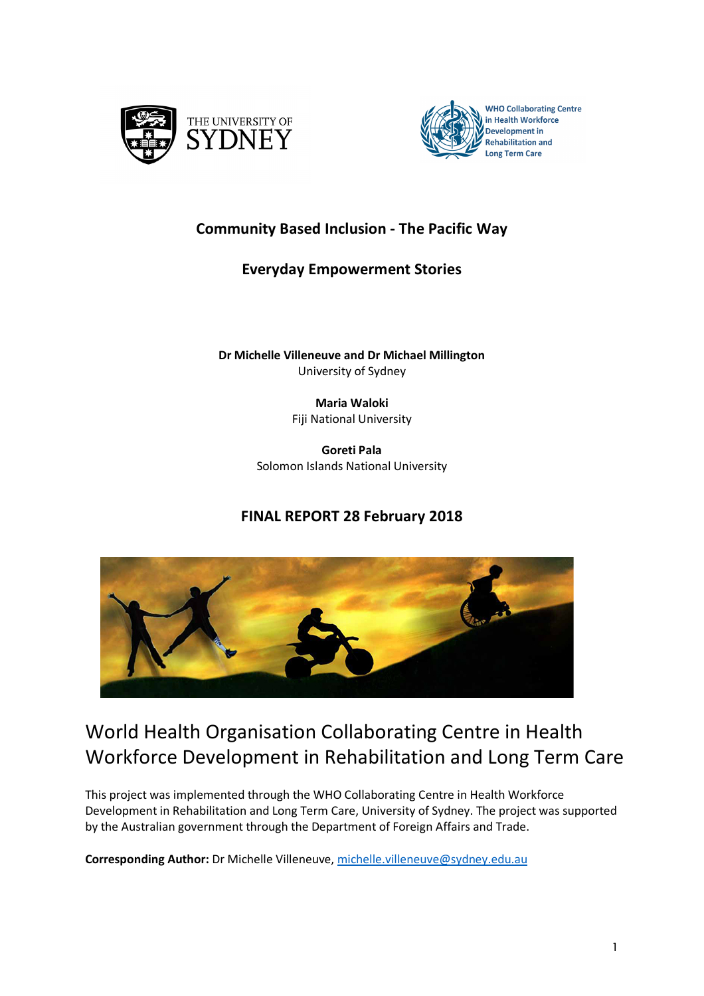



# **Community Based Inclusion - The Pacific Way**

# **Everyday Empowerment Stories**

**Dr Michelle Villeneuve and Dr Michael Millington**  University of Sydney

> **Maria Waloki** Fiji National University

**Goreti Pala** Solomon Islands National University

# **FINAL REPORT 28 February 2018**



# World Health Organisation Collaborating Centre in Health Workforce Development in Rehabilitation and Long Term Care

This project was implemented through the WHO Collaborating Centre in Health Workforce Development in Rehabilitation and Long Term Care, University of Sydney. The project was supported by the Australian government through the Department of Foreign Affairs and Trade.

**Corresponding Author:** Dr Michelle Villeneuve, michelle.villeneuve@sydney.edu.au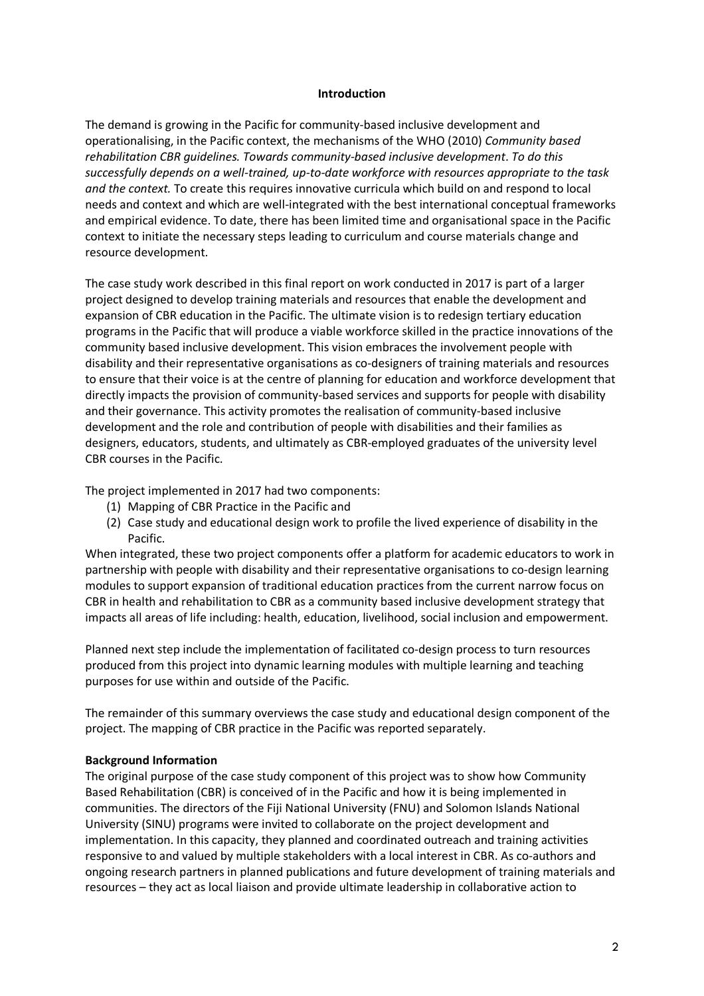#### **Introduction**

The demand is growing in the Pacific for community-based inclusive development and operationalising, in the Pacific context, the mechanisms of the WHO (2010) *Community based rehabilitation CBR guidelines. Towards community-based inclusive development*. *To do this successfully depends on a well-trained, up-to-date workforce with resources appropriate to the task and the context.* To create this requires innovative curricula which build on and respond to local needs and context and which are well-integrated with the best international conceptual frameworks and empirical evidence. To date, there has been limited time and organisational space in the Pacific context to initiate the necessary steps leading to curriculum and course materials change and resource development.

The case study work described in this final report on work conducted in 2017 is part of a larger project designed to develop training materials and resources that enable the development and expansion of CBR education in the Pacific. The ultimate vision is to redesign tertiary education programs in the Pacific that will produce a viable workforce skilled in the practice innovations of the community based inclusive development. This vision embraces the involvement people with disability and their representative organisations as co-designers of training materials and resources to ensure that their voice is at the centre of planning for education and workforce development that directly impacts the provision of community-based services and supports for people with disability and their governance. This activity promotes the realisation of community-based inclusive development and the role and contribution of people with disabilities and their families as designers, educators, students, and ultimately as CBR-employed graduates of the university level CBR courses in the Pacific.

The project implemented in 2017 had two components:

- (1) Mapping of CBR Practice in the Pacific and
- (2) Case study and educational design work to profile the lived experience of disability in the Pacific.

When integrated, these two project components offer a platform for academic educators to work in partnership with people with disability and their representative organisations to co-design learning modules to support expansion of traditional education practices from the current narrow focus on CBR in health and rehabilitation to CBR as a community based inclusive development strategy that impacts all areas of life including: health, education, livelihood, social inclusion and empowerment.

Planned next step include the implementation of facilitated co-design process to turn resources produced from this project into dynamic learning modules with multiple learning and teaching purposes for use within and outside of the Pacific.

The remainder of this summary overviews the case study and educational design component of the project. The mapping of CBR practice in the Pacific was reported separately.

#### **Background Information**

The original purpose of the case study component of this project was to show how Community Based Rehabilitation (CBR) is conceived of in the Pacific and how it is being implemented in communities. The directors of the Fiji National University (FNU) and Solomon Islands National University (SINU) programs were invited to collaborate on the project development and implementation. In this capacity, they planned and coordinated outreach and training activities responsive to and valued by multiple stakeholders with a local interest in CBR. As co-authors and ongoing research partners in planned publications and future development of training materials and resources – they act as local liaison and provide ultimate leadership in collaborative action to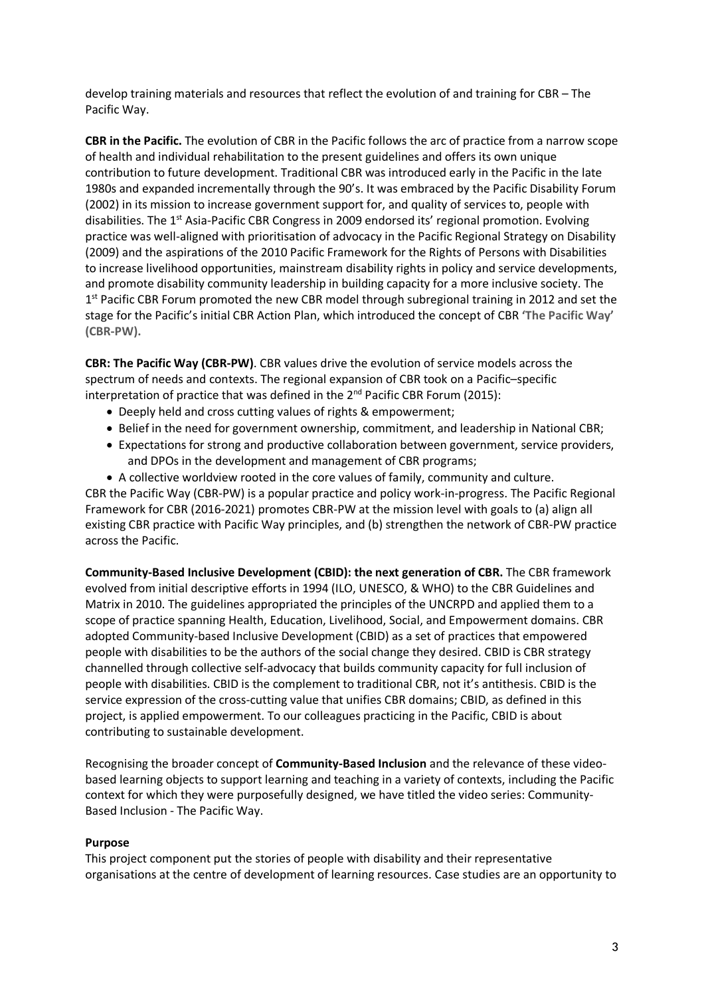develop training materials and resources that reflect the evolution of and training for CBR – The Pacific Way.

**CBR in the Pacific.** The evolution of CBR in the Pacific follows the arc of practice from a narrow scope of health and individual rehabilitation to the present guidelines and offers its own unique contribution to future development. Traditional CBR was introduced early in the Pacific in the late 1980s and expanded incrementally through the 90's. It was embraced by the Pacific Disability Forum (2002) in its mission to increase government support for, and quality of services to, people with disabilities. The 1<sup>st</sup> Asia-Pacific CBR Congress in 2009 endorsed its' regional promotion. Evolving practice was well-aligned with prioritisation of advocacy in the Pacific Regional Strategy on Disability (2009) and the aspirations of the 2010 Pacific Framework for the Rights of Persons with Disabilities to increase livelihood opportunities, mainstream disability rights in policy and service developments, and promote disability community leadership in building capacity for a more inclusive society. The 1<sup>st</sup> Pacific CBR Forum promoted the new CBR model through subregional training in 2012 and set the stage for the Pacific's initial CBR Action Plan, which introduced the concept of CBR **'The Pacific Way' (CBR-PW).**

**CBR: The Pacific Way (CBR-PW)**. CBR values drive the evolution of service models across the spectrum of needs and contexts. The regional expansion of CBR took on a Pacific–specific interpretation of practice that was defined in the  $2^{nd}$  Pacific CBR Forum (2015):

- Deeply held and cross cutting values of rights & empowerment;
- Belief in the need for government ownership, commitment, and leadership in National CBR;
- Expectations for strong and productive collaboration between government, service providers, and DPOs in the development and management of CBR programs;
- A collective worldview rooted in the core values of family, community and culture.

CBR the Pacific Way (CBR-PW) is a popular practice and policy work-in-progress. The Pacific Regional Framework for CBR (2016-2021) promotes CBR-PW at the mission level with goals to (a) align all existing CBR practice with Pacific Way principles, and (b) strengthen the network of CBR-PW practice across the Pacific.

**Community-Based Inclusive Development (CBID): the next generation of CBR.** The CBR framework evolved from initial descriptive efforts in 1994 (ILO, UNESCO, & WHO) to the CBR Guidelines and Matrix in 2010. The guidelines appropriated the principles of the UNCRPD and applied them to a scope of practice spanning Health, Education, Livelihood, Social, and Empowerment domains. CBR adopted Community-based Inclusive Development (CBID) as a set of practices that empowered people with disabilities to be the authors of the social change they desired. CBID is CBR strategy channelled through collective self-advocacy that builds community capacity for full inclusion of people with disabilities. CBID is the complement to traditional CBR, not it's antithesis. CBID is the service expression of the cross-cutting value that unifies CBR domains; CBID, as defined in this project, is applied empowerment. To our colleagues practicing in the Pacific, CBID is about contributing to sustainable development.

Recognising the broader concept of **Community-Based Inclusion** and the relevance of these videobased learning objects to support learning and teaching in a variety of contexts, including the Pacific context for which they were purposefully designed, we have titled the video series: Community-Based Inclusion - The Pacific Way.

#### **Purpose**

This project component put the stories of people with disability and their representative organisations at the centre of development of learning resources. Case studies are an opportunity to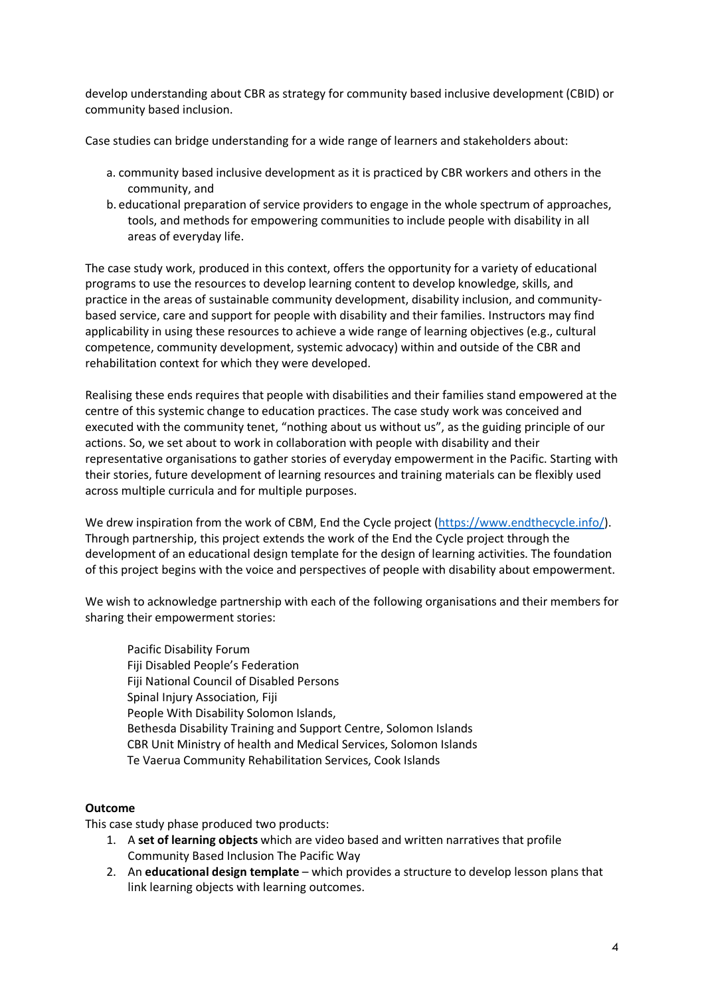develop understanding about CBR as strategy for community based inclusive development (CBID) or community based inclusion.

Case studies can bridge understanding for a wide range of learners and stakeholders about:

- a. community based inclusive development as it is practiced by CBR workers and others in the community, and
- b. educational preparation of service providers to engage in the whole spectrum of approaches, tools, and methods for empowering communities to include people with disability in all areas of everyday life.

The case study work, produced in this context, offers the opportunity for a variety of educational programs to use the resources to develop learning content to develop knowledge, skills, and practice in the areas of sustainable community development, disability inclusion, and communitybased service, care and support for people with disability and their families. Instructors may find applicability in using these resources to achieve a wide range of learning objectives (e.g., cultural competence, community development, systemic advocacy) within and outside of the CBR and rehabilitation context for which they were developed.

Realising these ends requires that people with disabilities and their families stand empowered at the centre of this systemic change to education practices. The case study work was conceived and executed with the community tenet, "nothing about us without us", as the guiding principle of our actions. So, we set about to work in collaboration with people with disability and their representative organisations to gather stories of everyday empowerment in the Pacific. Starting with their stories, future development of learning resources and training materials can be flexibly used across multiple curricula and for multiple purposes.

We drew inspiration from the work of CBM, End the Cycle project (https://www.endthecycle.info/). Through partnership, this project extends the work of the End the Cycle project through the development of an educational design template for the design of learning activities. The foundation of this project begins with the voice and perspectives of people with disability about empowerment.

We wish to acknowledge partnership with each of the following organisations and their members for sharing their empowerment stories:

Pacific Disability Forum Fiji Disabled People's Federation Fiji National Council of Disabled Persons Spinal Injury Association, Fiji People With Disability Solomon Islands, Bethesda Disability Training and Support Centre, Solomon Islands CBR Unit Ministry of health and Medical Services, Solomon Islands Te Vaerua Community Rehabilitation Services, Cook Islands

#### **Outcome**

This case study phase produced two products:

- 1. A **set of learning objects** which are video based and written narratives that profile Community Based Inclusion The Pacific Way
- 2. An **educational design template** which provides a structure to develop lesson plans that link learning objects with learning outcomes.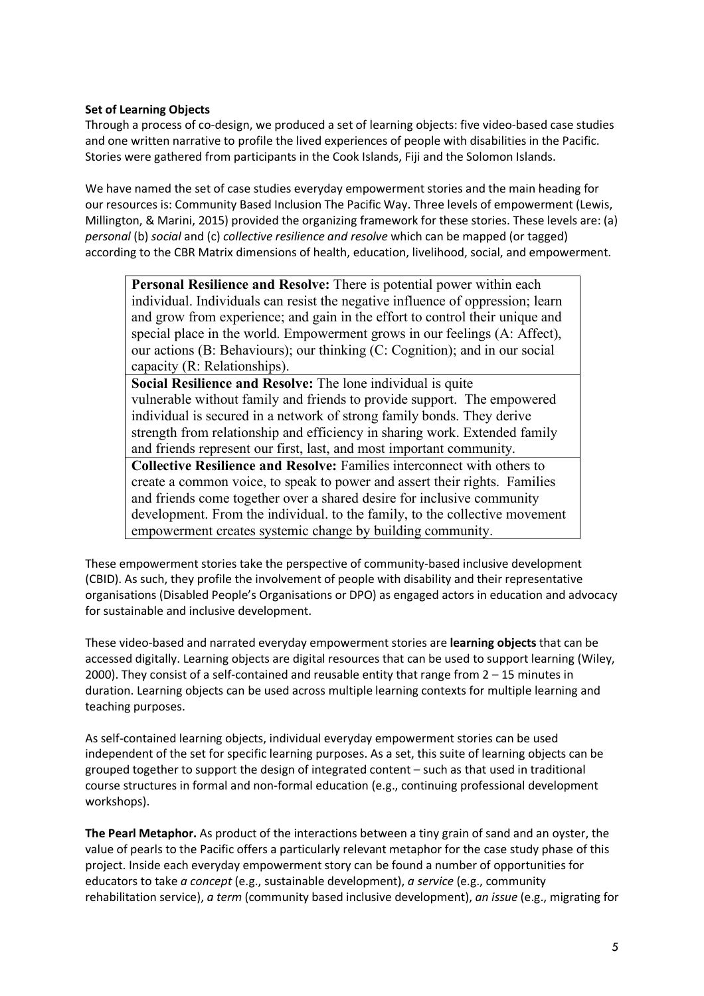#### **Set of Learning Objects**

Through a process of co-design, we produced a set of learning objects: five video-based case studies and one written narrative to profile the lived experiences of people with disabilities in the Pacific. Stories were gathered from participants in the Cook Islands, Fiji and the Solomon Islands.

We have named the set of case studies everyday empowerment stories and the main heading for our resources is: Community Based Inclusion The Pacific Way. Three levels of empowerment (Lewis, Millington, & Marini, 2015) provided the organizing framework for these stories. These levels are: (a) *personal* (b) *social* and (c) *collective resilience and resolve* which can be mapped (or tagged) according to the CBR Matrix dimensions of health, education, livelihood, social, and empowerment.

**Personal Resilience and Resolve:** There is potential power within each individual. Individuals can resist the negative influence of oppression; learn and grow from experience; and gain in the effort to control their unique and special place in the world. Empowerment grows in our feelings (A: Affect), our actions (B: Behaviours); our thinking (C: Cognition); and in our social capacity (R: Relationships).

**Social Resilience and Resolve:** The lone individual is quite vulnerable without family and friends to provide support. The empowered individual is secured in a network of strong family bonds. They derive strength from relationship and efficiency in sharing work. Extended family and friends represent our first, last, and most important community.

**Collective Resilience and Resolve:** Families interconnect with others to create a common voice, to speak to power and assert their rights. Families and friends come together over a shared desire for inclusive community development. From the individual. to the family, to the collective movement empowerment creates systemic change by building community.

These empowerment stories take the perspective of community-based inclusive development (CBID). As such, they profile the involvement of people with disability and their representative organisations (Disabled People's Organisations or DPO) as engaged actors in education and advocacy for sustainable and inclusive development.

These video-based and narrated everyday empowerment stories are **learning objects** that can be accessed digitally. Learning objects are digital resources that can be used to support learning (Wiley, 2000). They consist of a self-contained and reusable entity that range from 2 – 15 minutes in duration. Learning objects can be used across multiple learning contexts for multiple learning and teaching purposes.

As self-contained learning objects, individual everyday empowerment stories can be used independent of the set for specific learning purposes. As a set, this suite of learning objects can be grouped together to support the design of integrated content – such as that used in traditional course structures in formal and non-formal education (e.g., continuing professional development workshops).

**The Pearl Metaphor.** As product of the interactions between a tiny grain of sand and an oyster, the value of pearls to the Pacific offers a particularly relevant metaphor for the case study phase of this project. Inside each everyday empowerment story can be found a number of opportunities for educators to take *a concept* (e.g., sustainable development), *a service* (e.g., community rehabilitation service), *a term* (community based inclusive development), *an issue* (e.g., migrating for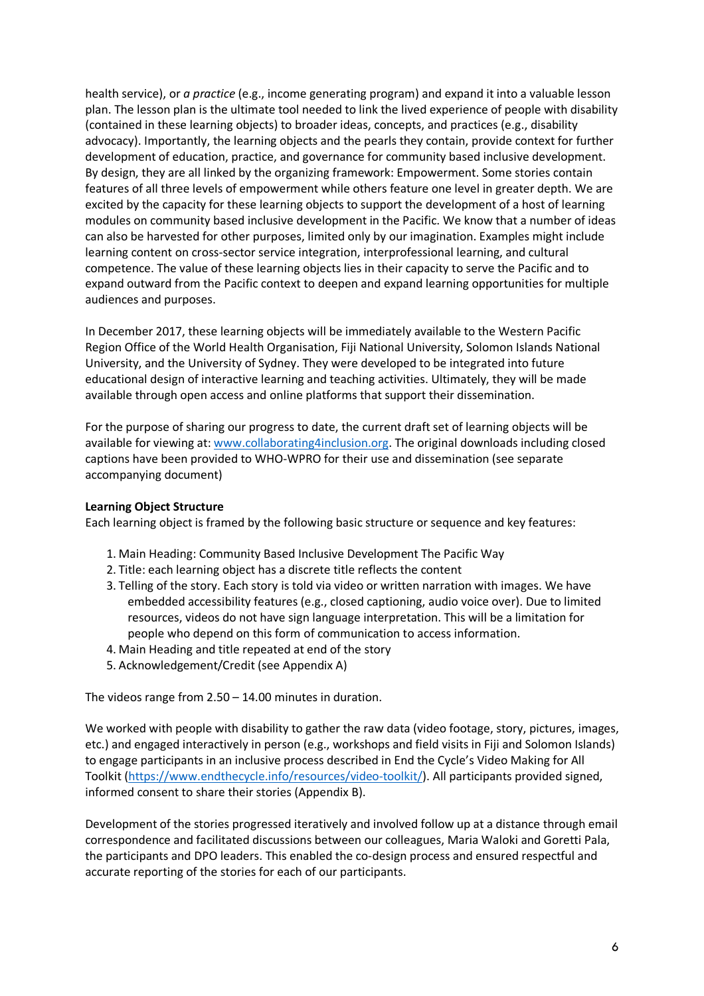health service), or *a practice* (e.g., income generating program) and expand it into a valuable lesson plan. The lesson plan is the ultimate tool needed to link the lived experience of people with disability (contained in these learning objects) to broader ideas, concepts, and practices (e.g., disability advocacy). Importantly, the learning objects and the pearls they contain, provide context for further development of education, practice, and governance for community based inclusive development. By design, they are all linked by the organizing framework: Empowerment. Some stories contain features of all three levels of empowerment while others feature one level in greater depth. We are excited by the capacity for these learning objects to support the development of a host of learning modules on community based inclusive development in the Pacific. We know that a number of ideas can also be harvested for other purposes, limited only by our imagination. Examples might include learning content on cross-sector service integration, interprofessional learning, and cultural competence. The value of these learning objects lies in their capacity to serve the Pacific and to expand outward from the Pacific context to deepen and expand learning opportunities for multiple audiences and purposes.

In December 2017, these learning objects will be immediately available to the Western Pacific Region Office of the World Health Organisation, Fiji National University, Solomon Islands National University, and the University of Sydney. They were developed to be integrated into future educational design of interactive learning and teaching activities. Ultimately, they will be made available through open access and online platforms that support their dissemination.

For the purpose of sharing our progress to date, the current draft set of learning objects will be available for viewing at: www.collaborating4inclusion.org. The original downloads including closed captions have been provided to WHO-WPRO for their use and dissemination (see separate accompanying document)

#### **Learning Object Structure**

Each learning object is framed by the following basic structure or sequence and key features:

- 1. Main Heading: Community Based Inclusive Development The Pacific Way
- 2. Title: each learning object has a discrete title reflects the content
- 3. Telling of the story. Each story is told via video or written narration with images. We have embedded accessibility features (e.g., closed captioning, audio voice over). Due to limited resources, videos do not have sign language interpretation. This will be a limitation for people who depend on this form of communication to access information.
- 4. Main Heading and title repeated at end of the story
- 5. Acknowledgement/Credit (see Appendix A)

The videos range from 2.50 – 14.00 minutes in duration.

We worked with people with disability to gather the raw data (video footage, story, pictures, images, etc.) and engaged interactively in person (e.g., workshops and field visits in Fiji and Solomon Islands) to engage participants in an inclusive process described in End the Cycle's Video Making for All Toolkit (https://www.endthecycle.info/resources/video-toolkit/). All participants provided signed, informed consent to share their stories (Appendix B).

Development of the stories progressed iteratively and involved follow up at a distance through email correspondence and facilitated discussions between our colleagues, Maria Waloki and Goretti Pala, the participants and DPO leaders. This enabled the co-design process and ensured respectful and accurate reporting of the stories for each of our participants.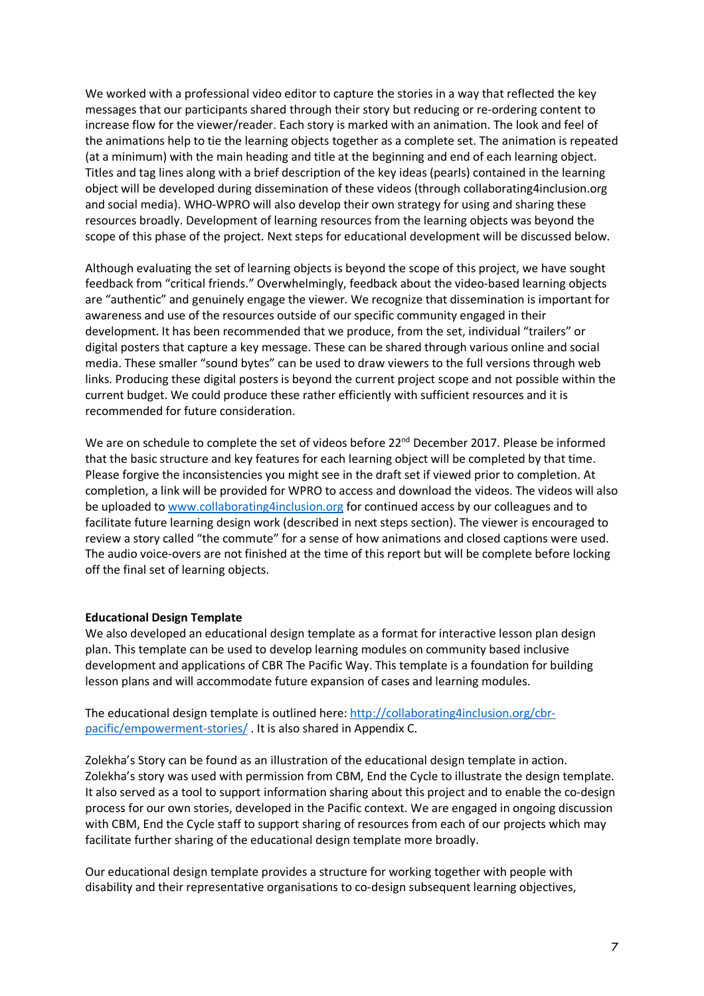We worked with a professional video editor to capture the stories in a way that reflected the key messages that our participants shared through their story but reducing or re-ordering content to increase flow for the viewer/reader. Each story is marked with an animation. The look and feel of the animations help to tie the learning objects together as a complete set. The animation is repeated (at a minimum) with the main heading and title at the beginning and end of each learning object. Titles and tag lines along with a brief description of the key ideas (pearls) contained in the learning object will be developed during dissemination of these videos (through collaborating4inclusion.org and social media). WHO-WPRO will also develop their own strategy for using and sharing these resources broadly. Development of learning resources from the learning objects was beyond the scope of this phase of the project. Next steps for educational development will be discussed below.

Although evaluating the set of learning objects is beyond the scope of this project, we have sought feedback from "critical friends." Overwhelmingly, feedback about the video-based learning objects are "authentic" and genuinely engage the viewer. We recognize that dissemination is important for awareness and use of the resources outside of our specific community engaged in their development. It has been recommended that we produce, from the set, individual "trailers" or digital posters that capture a key message. These can be shared through various online and social media. These smaller "sound bytes" can be used to draw viewers to the full versions through web links. Producing these digital posters is beyond the current project scope and not possible within the current budget. We could produce these rather efficiently with sufficient resources and it is recommended for future consideration.

We are on schedule to complete the set of videos before 22<sup>nd</sup> December 2017. Please be informed that the basic structure and key features for each learning object will be completed by that time. Please forgive the inconsistencies you might see in the draft set if viewed prior to completion. At completion, a link will be provided for WPRO to access and download the videos. The videos will also be uploaded to www.collaborating4inclusion.org for continued access by our colleagues and to facilitate future learning design work (described in next steps section). The viewer is encouraged to review a story called "the commute" for a sense of how animations and closed captions were used. The audio voice-overs are not finished at the time of this report but will be complete before locking off the final set of learning objects.

#### **Educational Design Template**

We also developed an educational design template as a format for interactive lesson plan design plan. This template can be used to develop learning modules on community based inclusive development and applications of CBR The Pacific Way. This template is a foundation for building lesson plans and will accommodate future expansion of cases and learning modules.

The educational design template is outlined here: http://collaborating4inclusion.org/cbrpacific/empowerment-stories/ . It is also shared in Appendix C.

Zolekha's Story can be found as an illustration of the educational design template in action. Zolekha's story was used with permission from CBM, End the Cycle to illustrate the design template. It also served as a tool to support information sharing about this project and to enable the co-design process for our own stories, developed in the Pacific context. We are engaged in ongoing discussion with CBM, End the Cycle staff to support sharing of resources from each of our projects which may facilitate further sharing of the educational design template more broadly.

Our educational design template provides a structure for working together with people with disability and their representative organisations to co-design subsequent learning objectives,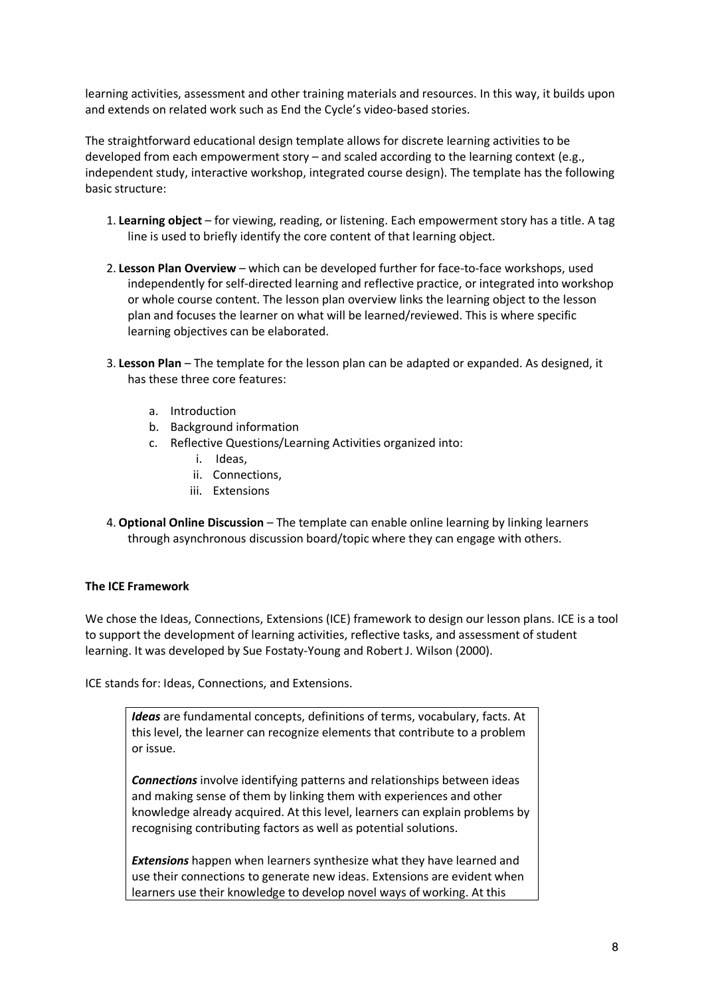learning activities, assessment and other training materials and resources. In this way, it builds upon and extends on related work such as End the Cycle's video-based stories.

The straightforward educational design template allows for discrete learning activities to be developed from each empowerment story – and scaled according to the learning context (e.g., independent study, interactive workshop, integrated course design). The template has the following basic structure:

- 1. **Learning object** for viewing, reading, or listening. Each empowerment story has a title. A tag line is used to briefly identify the core content of that learning object.
- 2. **Lesson Plan Overview** which can be developed further for face-to-face workshops, used independently for self-directed learning and reflective practice, or integrated into workshop or whole course content. The lesson plan overview links the learning object to the lesson plan and focuses the learner on what will be learned/reviewed. This is where specific learning objectives can be elaborated.
- 3. **Lesson Plan** The template for the lesson plan can be adapted or expanded. As designed, it has these three core features:
	- a. Introduction
	- b. Background information
	- c. Reflective Questions/Learning Activities organized into:
		- i. Ideas,
		- ii. Connections,
		- iii. Extensions
- 4. **Optional Online Discussion** The template can enable online learning by linking learners through asynchronous discussion board/topic where they can engage with others.

#### **The ICE Framework**

We chose the Ideas, Connections, Extensions (ICE) framework to design our lesson plans. ICE is a tool to support the development of learning activities, reflective tasks, and assessment of student learning. It was developed by Sue Fostaty-Young and Robert J. Wilson (2000).

ICE stands for: Ideas, Connections, and Extensions.

*Ideas* are fundamental concepts, definitions of terms, vocabulary, facts. At this level, the learner can recognize elements that contribute to a problem or issue.

*Connections* involve identifying patterns and relationships between ideas and making sense of them by linking them with experiences and other knowledge already acquired. At this level, learners can explain problems by recognising contributing factors as well as potential solutions.

*Extensions* happen when learners synthesize what they have learned and use their connections to generate new ideas. Extensions are evident when learners use their knowledge to develop novel ways of working. At this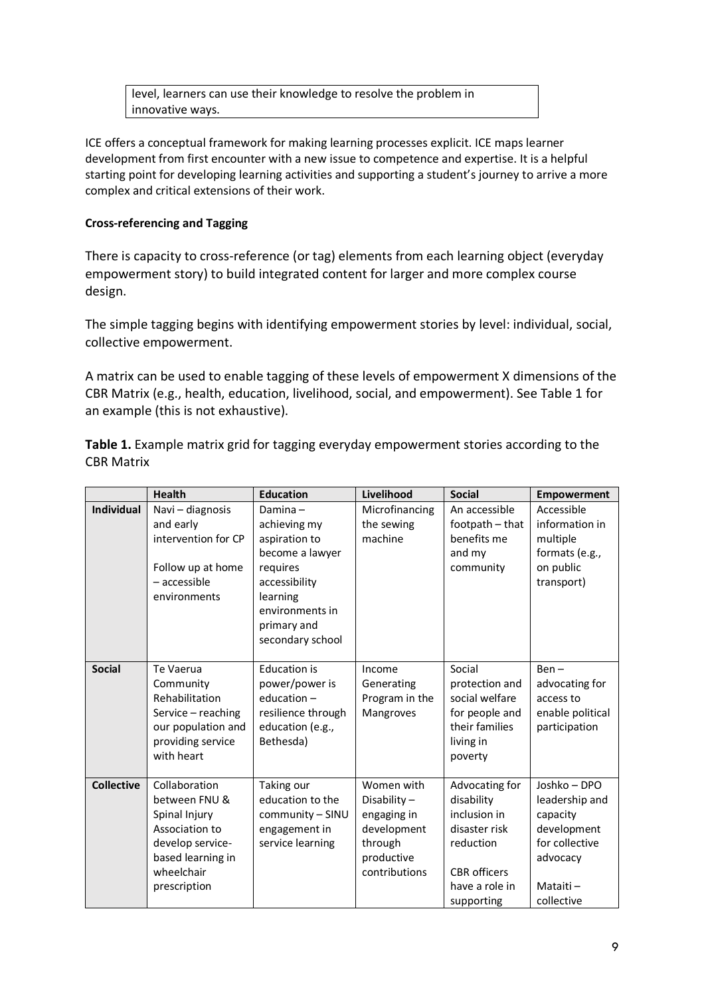level, learners can use their knowledge to resolve the problem in innovative ways.

ICE offers a conceptual framework for making learning processes explicit. ICE maps learner development from first encounter with a new issue to competence and expertise. It is a helpful starting point for developing learning activities and supporting a student's journey to arrive a more complex and critical extensions of their work.

#### **Cross-referencing and Tagging**

There is capacity to cross-reference (or tag) elements from each learning object (everyday empowerment story) to build integrated content for larger and more complex course design.

The simple tagging begins with identifying empowerment stories by level: individual, social, collective empowerment.

A matrix can be used to enable tagging of these levels of empowerment X dimensions of the CBR Matrix (e.g., health, education, livelihood, social, and empowerment). See Table 1 for an example (this is not exhaustive).

**Table 1.** Example matrix grid for tagging everyday empowerment stories according to the CBR Matrix

|                   | <b>Health</b>                                                                                                                            | <b>Education</b>                                                                                                                                              | Livelihood                                                                                        | <b>Social</b>                                                                                                                     | <b>Empowerment</b>                                                                                                |
|-------------------|------------------------------------------------------------------------------------------------------------------------------------------|---------------------------------------------------------------------------------------------------------------------------------------------------------------|---------------------------------------------------------------------------------------------------|-----------------------------------------------------------------------------------------------------------------------------------|-------------------------------------------------------------------------------------------------------------------|
| <b>Individual</b> | Navi - diagnosis<br>and early<br>intervention for CP<br>Follow up at home<br>$-$ accessible<br>environments                              | Damina $-$<br>achieving my<br>aspiration to<br>become a lawyer<br>requires<br>accessibility<br>learning<br>environments in<br>primary and<br>secondary school | Microfinancing<br>the sewing<br>machine                                                           | An accessible<br>footpath - that<br>benefits me<br>and my<br>community                                                            | Accessible<br>information in<br>multiple<br>formats (e.g.,<br>on public<br>transport)                             |
| <b>Social</b>     | Te Vaerua<br>Community<br>Rehabilitation<br>Service - reaching<br>our population and<br>providing service<br>with heart                  | <b>Education is</b><br>power/power is<br>education $-$<br>resilience through<br>education (e.g.,<br>Bethesda)                                                 | Income<br>Generating<br>Program in the<br>Mangroves                                               | Social<br>protection and<br>social welfare<br>for people and<br>their families<br>living in<br>poverty                            | $Ben -$<br>advocating for<br>access to<br>enable political<br>participation                                       |
| <b>Collective</b> | Collaboration<br>between FNU &<br>Spinal Injury<br>Association to<br>develop service-<br>based learning in<br>wheelchair<br>prescription | Taking our<br>education to the<br>community - SINU<br>engagement in<br>service learning                                                                       | Women with<br>Disability-<br>engaging in<br>development<br>through<br>productive<br>contributions | Advocating for<br>disability<br>inclusion in<br>disaster risk<br>reduction<br><b>CBR</b> officers<br>have a role in<br>supporting | Joshko - DPO<br>leadership and<br>capacity<br>development<br>for collective<br>advocacy<br>Mataiti-<br>collective |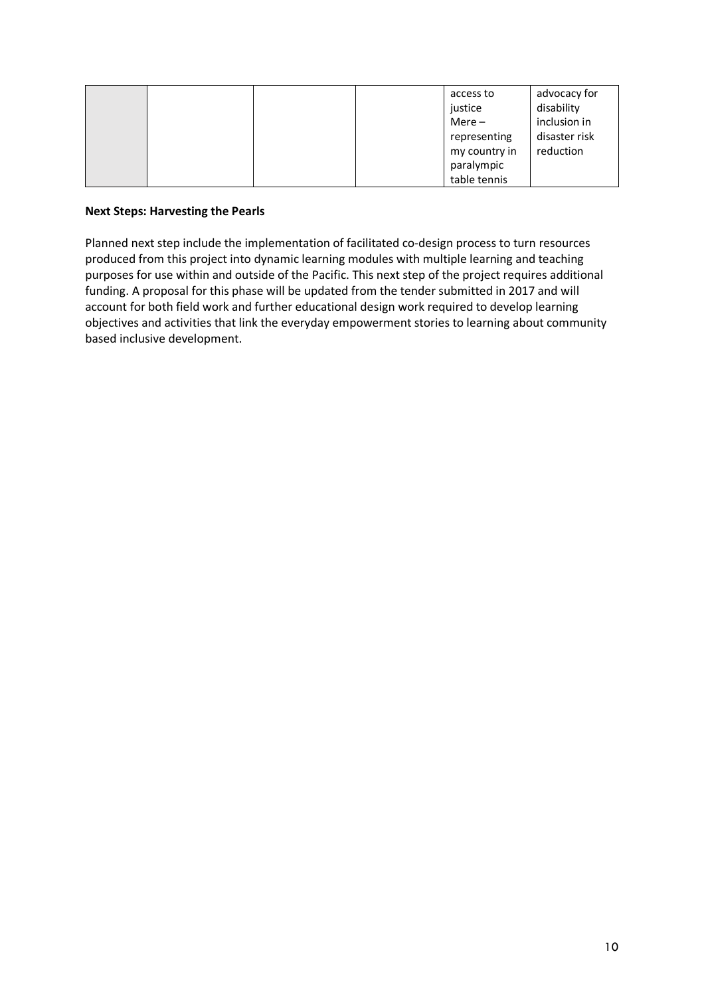|  |  | access to     | advocacy for  |
|--|--|---------------|---------------|
|  |  | justice       | disability    |
|  |  | $Mere -$      | inclusion in  |
|  |  | representing  | disaster risk |
|  |  | my country in | reduction     |
|  |  | paralympic    |               |
|  |  | table tennis  |               |

#### **Next Steps: Harvesting the Pearls**

Planned next step include the implementation of facilitated co-design process to turn resources produced from this project into dynamic learning modules with multiple learning and teaching purposes for use within and outside of the Pacific. This next step of the project requires additional funding. A proposal for this phase will be updated from the tender submitted in 2017 and will account for both field work and further educational design work required to develop learning objectives and activities that link the everyday empowerment stories to learning about community based inclusive development.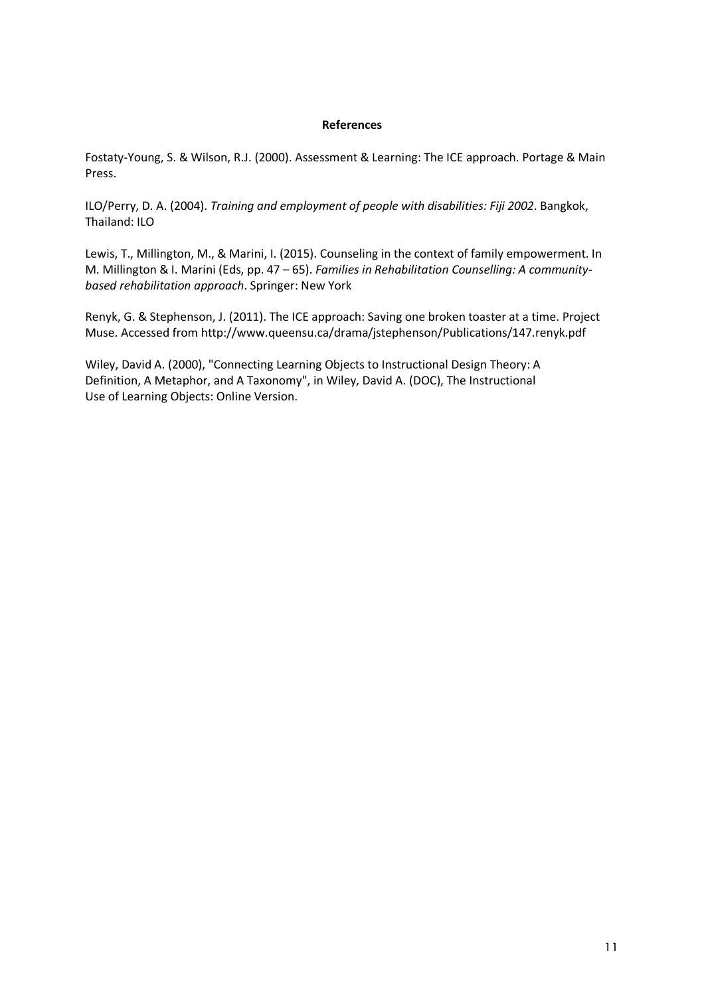#### **References**

Fostaty-Young, S. & Wilson, R.J. (2000). Assessment & Learning: The ICE approach. Portage & Main Press.

ILO/Perry, D. A. (2004). *Training and employment of people with disabilities: Fiji 2002*. Bangkok, Thailand: ILO

Lewis, T., Millington, M., & Marini, I. (2015). Counseling in the context of family empowerment. In M. Millington & I. Marini (Eds, pp. 47 – 65). *Families in Rehabilitation Counselling: A communitybased rehabilitation approach*. Springer: New York

Renyk, G. & Stephenson, J. (2011). The ICE approach: Saving one broken toaster at a time. Project Muse. Accessed from http://www.queensu.ca/drama/jstephenson/Publications/147.renyk.pdf

Wiley, David A. (2000), "Connecting Learning Objects to Instructional Design Theory: A Definition, A Metaphor, and A Taxonomy", in Wiley, David A. (DOC), The Instructional Use of Learning Objects: Online Version.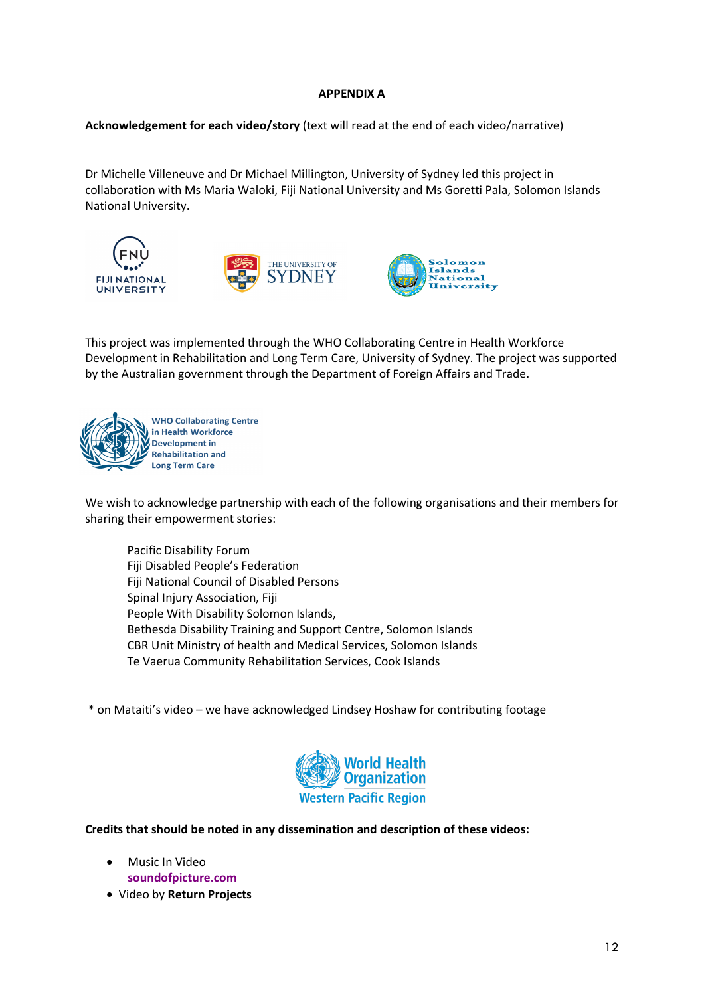#### **APPENDIX A**

**Acknowledgement for each video/story** (text will read at the end of each video/narrative)

Dr Michelle Villeneuve and Dr Michael Millington, University of Sydney led this project in collaboration with Ms Maria Waloki, Fiji National University and Ms Goretti Pala, Solomon Islands National University.







This project was implemented through the WHO Collaborating Centre in Health Workforce Development in Rehabilitation and Long Term Care, University of Sydney. The project was supported by the Australian government through the Department of Foreign Affairs and Trade.



We wish to acknowledge partnership with each of the following organisations and their members for sharing their empowerment stories:

Pacific Disability Forum Fiji Disabled People's Federation Fiji National Council of Disabled Persons Spinal Injury Association, Fiji People With Disability Solomon Islands, Bethesda Disability Training and Support Centre, Solomon Islands CBR Unit Ministry of health and Medical Services, Solomon Islands Te Vaerua Community Rehabilitation Services, Cook Islands

\* on Mataiti's video – we have acknowledged Lindsey Hoshaw for contributing footage



**Credits that should be noted in any dissemination and description of these videos:**

- Music In Video **soundofpicture.com**
- Video by **Return Projects**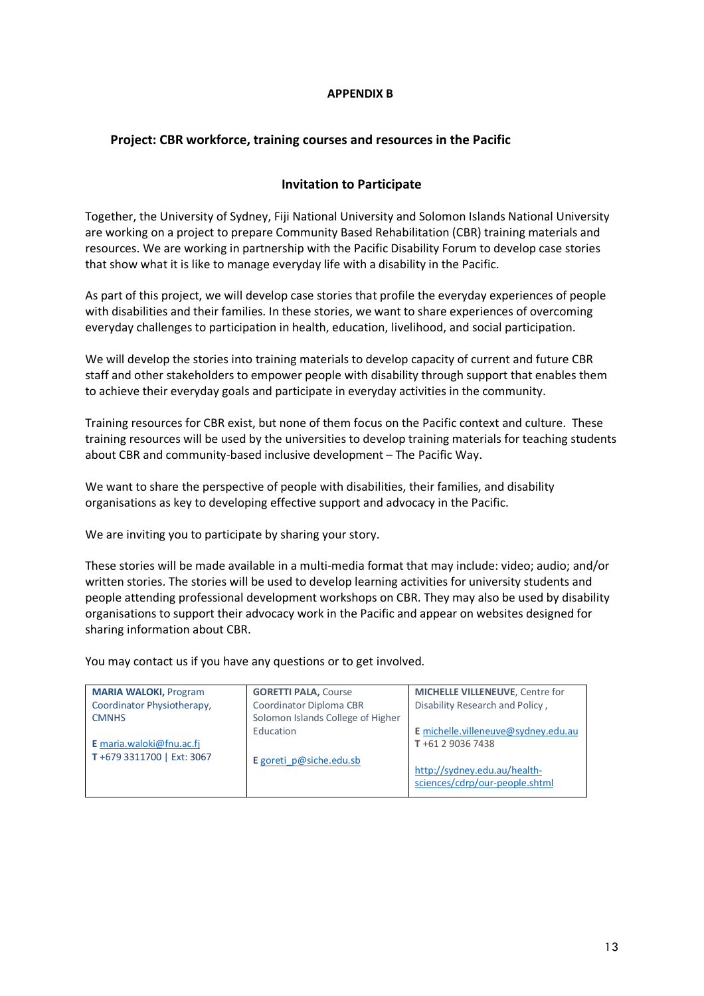#### **APPENDIX B**

#### **Project: CBR workforce, training courses and resources in the Pacific**

#### **Invitation to Participate**

Together, the University of Sydney, Fiji National University and Solomon Islands National University are working on a project to prepare Community Based Rehabilitation (CBR) training materials and resources. We are working in partnership with the Pacific Disability Forum to develop case stories that show what it is like to manage everyday life with a disability in the Pacific.

As part of this project, we will develop case stories that profile the everyday experiences of people with disabilities and their families. In these stories, we want to share experiences of overcoming everyday challenges to participation in health, education, livelihood, and social participation.

We will develop the stories into training materials to develop capacity of current and future CBR staff and other stakeholders to empower people with disability through support that enables them to achieve their everyday goals and participate in everyday activities in the community.

Training resources for CBR exist, but none of them focus on the Pacific context and culture. These training resources will be used by the universities to develop training materials for teaching students about CBR and community-based inclusive development – The Pacific Way.

We want to share the perspective of people with disabilities, their families, and disability organisations as key to developing effective support and advocacy in the Pacific.

We are inviting you to participate by sharing your story.

These stories will be made available in a multi-media format that may include: video; audio; and/or written stories. The stories will be used to develop learning activities for university students and people attending professional development workshops on CBR. They may also be used by disability organisations to support their advocacy work in the Pacific and appear on websites designed for sharing information about CBR.

You may contact us if you have any questions or to get involved.

| <b>MARIA WALOKI, Program</b> | <b>GORETTI PALA, Course</b>       | <b>MICHELLE VILLENEUVE, Centre for</b>                         |
|------------------------------|-----------------------------------|----------------------------------------------------------------|
| Coordinator Physiotherapy,   | Coordinator Diploma CBR           | Disability Research and Policy,                                |
| <b>CMNHS</b>                 | Solomon Islands College of Higher |                                                                |
|                              | Education                         | E michelle.villeneuve@sydney.edu.au                            |
| E maria.waloki@fnu.ac.fj     |                                   | T+61 2 9036 7438                                               |
| T+679 3311700   Ext: 3067    | E goreti p@siche.edu.sb           | http://sydney.edu.au/health-<br>sciences/cdrp/our-people.shtml |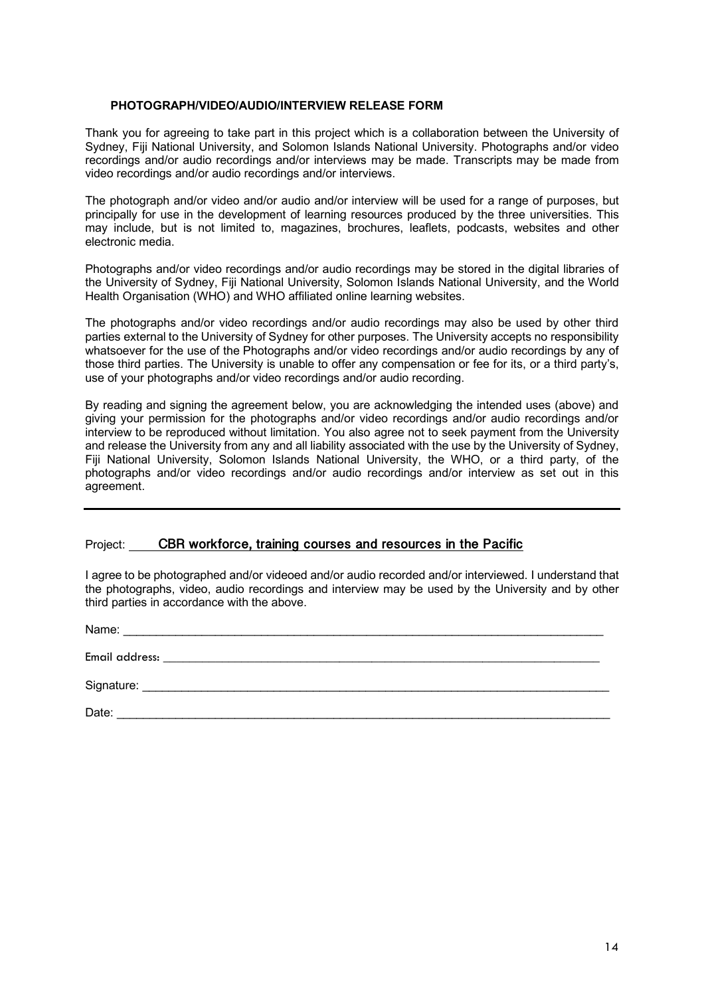#### **PHOTOGRAPH/VIDEO/AUDIO/INTERVIEW RELEASE FORM**

Thank you for agreeing to take part in this project which is a collaboration between the University of Sydney, Fiji National University, and Solomon Islands National University. Photographs and/or video recordings and/or audio recordings and/or interviews may be made. Transcripts may be made from video recordings and/or audio recordings and/or interviews.

The photograph and/or video and/or audio and/or interview will be used for a range of purposes, but principally for use in the development of learning resources produced by the three universities. This may include, but is not limited to, magazines, brochures, leaflets, podcasts, websites and other electronic media.

Photographs and/or video recordings and/or audio recordings may be stored in the digital libraries of the University of Sydney, Fiji National University, Solomon Islands National University, and the World Health Organisation (WHO) and WHO affiliated online learning websites.

The photographs and/or video recordings and/or audio recordings may also be used by other third parties external to the University of Sydney for other purposes. The University accepts no responsibility whatsoever for the use of the Photographs and/or video recordings and/or audio recordings by any of those third parties. The University is unable to offer any compensation or fee for its, or a third party's, use of your photographs and/or video recordings and/or audio recording.

By reading and signing the agreement below, you are acknowledging the intended uses (above) and giving your permission for the photographs and/or video recordings and/or audio recordings and/or interview to be reproduced without limitation. You also agree not to seek payment from the University and release the University from any and all liability associated with the use by the University of Sydney, Fiji National University, Solomon Islands National University, the WHO, or a third party, of the photographs and/or video recordings and/or audio recordings and/or interview as set out in this agreement.

#### Project: **CBR workforce, training courses and resources in the Pacific**

I agree to be photographed and/or videoed and/or audio recorded and/or interviewed. I understand that the photographs, video, audio recordings and interview may be used by the University and by other third parties in accordance with the above.

| Name:          |  |  |
|----------------|--|--|
| Email address: |  |  |
|                |  |  |
| Date:          |  |  |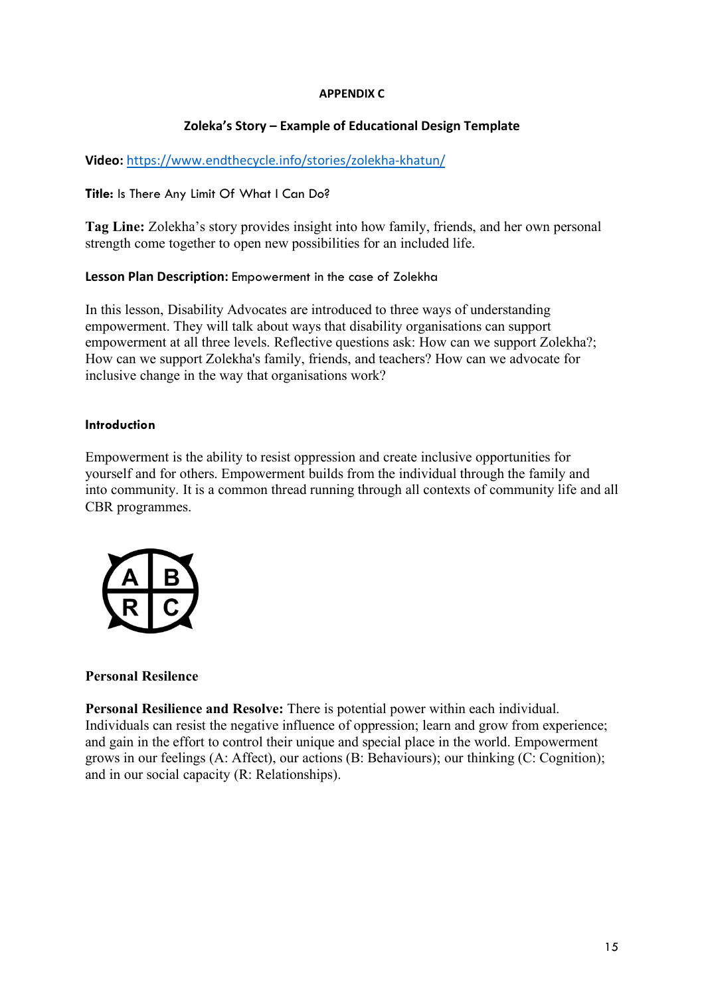#### **APPENDIX C**

# **Zoleka's Story – Example of Educational Design Template**

## **Video:** https://www.endthecycle.info/stories/zolekha-khatun/

#### **Title:** Is There Any Limit Of What I Can Do?

**Tag Line:** Zolekha's story provides insight into how family, friends, and her own personal strength come together to open new possibilities for an included life.

#### **Lesson Plan Description:** Empowerment in the case of Zolekha

In this lesson, Disability Advocates are introduced to three ways of understanding empowerment. They will talk about ways that disability organisations can support empowerment at all three levels. Reflective questions ask: How can we support Zolekha?; How can we support Zolekha's family, friends, and teachers? How can we advocate for inclusive change in the way that organisations work?

#### **Introduction**

Empowerment is the ability to resist oppression and create inclusive opportunities for yourself and for others. Empowerment builds from the individual through the family and into community. It is a common thread running through all contexts of community life and all CBR programmes.



#### **Personal Resilence**

**Personal Resilience and Resolve:** There is potential power within each individual. Individuals can resist the negative influence of oppression; learn and grow from experience; and gain in the effort to control their unique and special place in the world. Empowerment grows in our feelings (A: Affect), our actions (B: Behaviours); our thinking (C: Cognition); and in our social capacity (R: Relationships).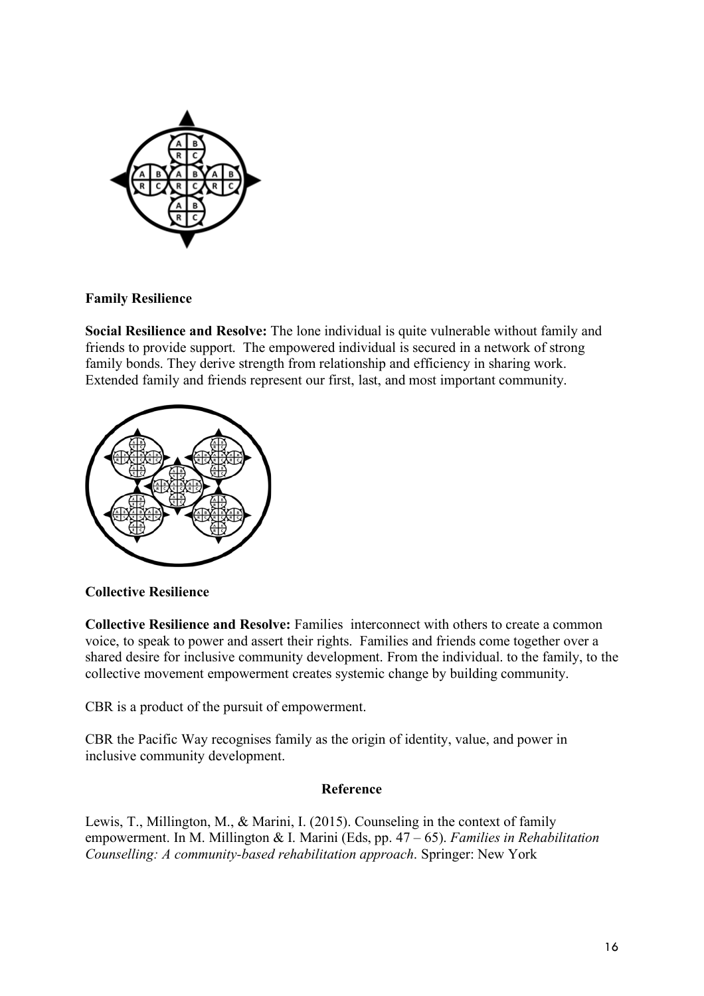

# **Family Resilience**

**Social Resilience and Resolve:** The lone individual is quite vulnerable without family and friends to provide support. The empowered individual is secured in a network of strong family bonds. They derive strength from relationship and efficiency in sharing work. Extended family and friends represent our first, last, and most important community.



# **Collective Resilience**

**Collective Resilience and Resolve:** Families interconnect with others to create a common voice, to speak to power and assert their rights. Families and friends come together over a shared desire for inclusive community development. From the individual. to the family, to the collective movement empowerment creates systemic change by building community.

CBR is a product of the pursuit of empowerment.

CBR the Pacific Way recognises family as the origin of identity, value, and power in inclusive community development.

# **Reference**

Lewis, T., Millington, M., & Marini, I. (2015). Counseling in the context of family empowerment. In M. Millington & I. Marini (Eds, pp. 47 – 65). *Families in Rehabilitation Counselling: A community-based rehabilitation approach*. Springer: New York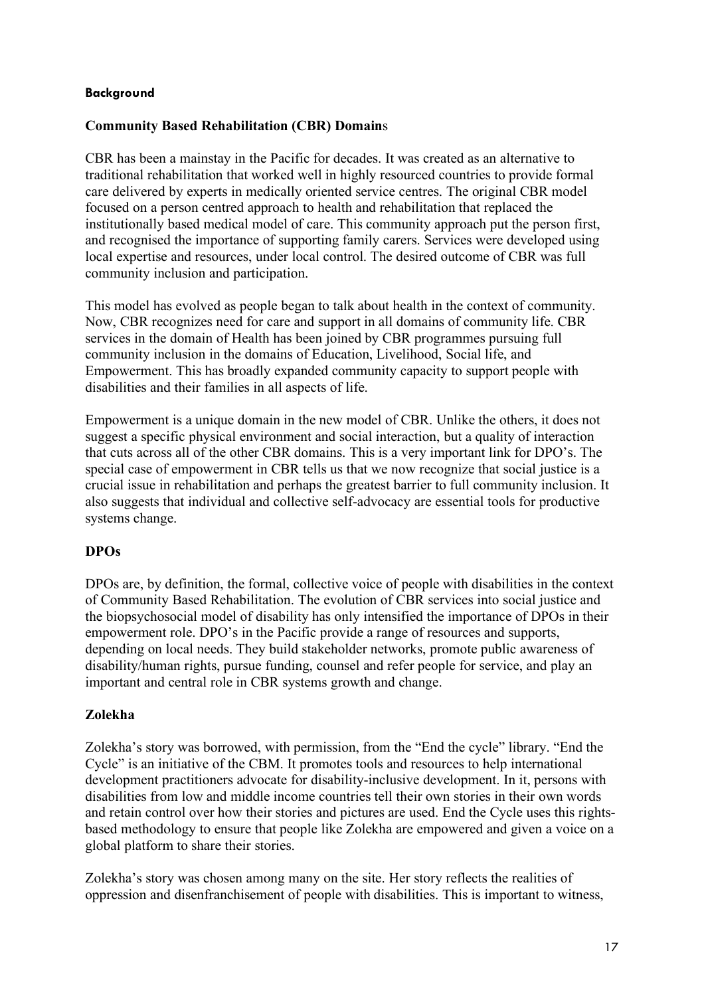## **Background**

## **Community Based Rehabilitation (CBR) Domain**s

CBR has been a mainstay in the Pacific for decades. It was created as an alternative to traditional rehabilitation that worked well in highly resourced countries to provide formal care delivered by experts in medically oriented service centres. The original CBR model focused on a person centred approach to health and rehabilitation that replaced the institutionally based medical model of care. This community approach put the person first, and recognised the importance of supporting family carers. Services were developed using local expertise and resources, under local control. The desired outcome of CBR was full community inclusion and participation.

This model has evolved as people began to talk about health in the context of community. Now, CBR recognizes need for care and support in all domains of community life. CBR services in the domain of Health has been joined by CBR programmes pursuing full community inclusion in the domains of Education, Livelihood, Social life, and Empowerment. This has broadly expanded community capacity to support people with disabilities and their families in all aspects of life.

Empowerment is a unique domain in the new model of CBR. Unlike the others, it does not suggest a specific physical environment and social interaction, but a quality of interaction that cuts across all of the other CBR domains. This is a very important link for DPO's. The special case of empowerment in CBR tells us that we now recognize that social justice is a crucial issue in rehabilitation and perhaps the greatest barrier to full community inclusion. It also suggests that individual and collective self-advocacy are essential tools for productive systems change.

# **DPOs**

DPOs are, by definition, the formal, collective voice of people with disabilities in the context of Community Based Rehabilitation. The evolution of CBR services into social justice and the biopsychosocial model of disability has only intensified the importance of DPOs in their empowerment role. DPO's in the Pacific provide a range of resources and supports, depending on local needs. They build stakeholder networks, promote public awareness of disability/human rights, pursue funding, counsel and refer people for service, and play an important and central role in CBR systems growth and change.

# **Zolekha**

Zolekha's story was borrowed, with permission, from the "End the cycle" library. "End the Cycle" is an initiative of the CBM. It promotes tools and resources to help international development practitioners advocate for disability-inclusive development. In it, persons with disabilities from low and middle income countries tell their own stories in their own words and retain control over how their stories and pictures are used. End the Cycle uses this rightsbased methodology to ensure that people like Zolekha are empowered and given a voice on a global platform to share their stories.

Zolekha's story was chosen among many on the site. Her story reflects the realities of oppression and disenfranchisement of people with disabilities. This is important to witness,